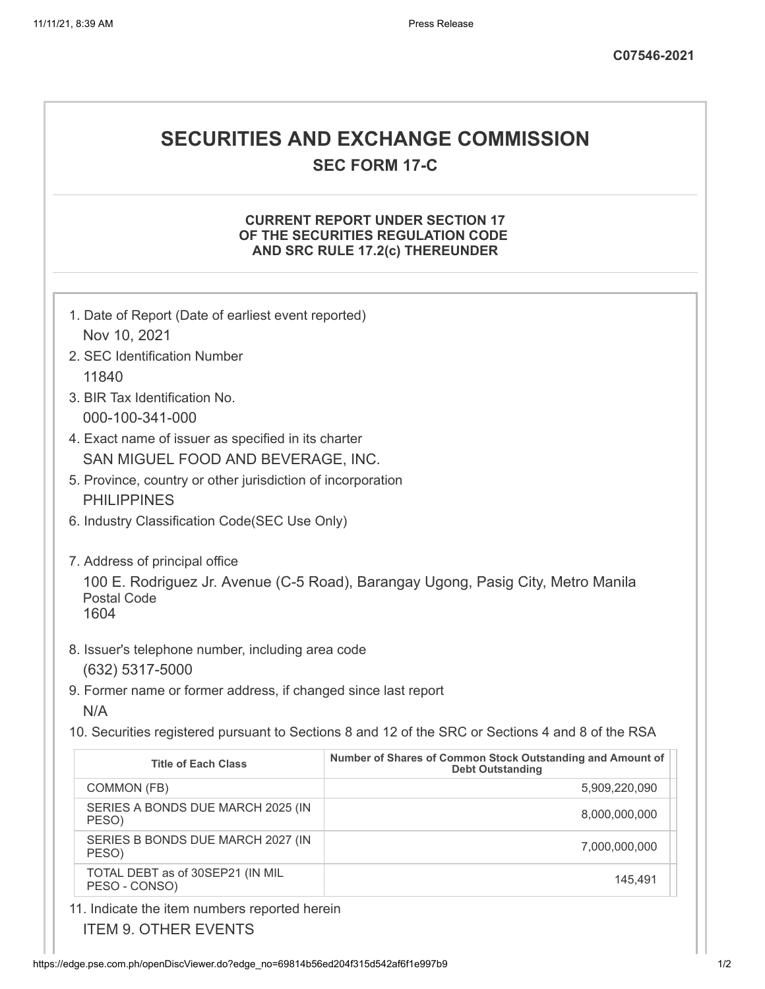# **SECURITIES AND EXCHANGE COMMISSION**

**SEC FORM 17-C**

#### **CURRENT REPORT UNDER SECTION 17 OF THE SECURITIES REGULATION CODE AND SRC RULE 17.2(c) THEREUNDER**

| 1. Date of Report (Date of earliest event reported)                                                            |                                                                                       |  |
|----------------------------------------------------------------------------------------------------------------|---------------------------------------------------------------------------------------|--|
| Nov 10, 2021                                                                                                   |                                                                                       |  |
| 2. SEC Identification Number                                                                                   |                                                                                       |  |
| 11840                                                                                                          |                                                                                       |  |
| 3. BIR Tax Identification No.                                                                                  |                                                                                       |  |
| 000-100-341-000                                                                                                |                                                                                       |  |
| 4. Exact name of issuer as specified in its charter                                                            |                                                                                       |  |
| SAN MIGUEL FOOD AND BEVERAGE, INC.                                                                             |                                                                                       |  |
| 5. Province, country or other jurisdiction of incorporation<br><b>PHILIPPINES</b>                              |                                                                                       |  |
|                                                                                                                |                                                                                       |  |
| 6. Industry Classification Code(SEC Use Only)                                                                  |                                                                                       |  |
| 7. Address of principal office                                                                                 |                                                                                       |  |
| 100 E. Rodriguez Jr. Avenue (C-5 Road), Barangay Ugong, Pasig City, Metro Manila<br><b>Postal Code</b><br>1604 |                                                                                       |  |
| 8. Issuer's telephone number, including area code<br>(632) 5317-5000                                           |                                                                                       |  |
| 9. Former name or former address, if changed since last report                                                 |                                                                                       |  |
| N/A                                                                                                            |                                                                                       |  |
| 10. Securities registered pursuant to Sections 8 and 12 of the SRC or Sections 4 and 8 of the RSA              |                                                                                       |  |
| <b>Title of Each Class</b>                                                                                     | Number of Shares of Common Stock Outstanding and Amount of<br><b>Debt Outstanding</b> |  |
| COMMON (FB)                                                                                                    | 5,909,220,090                                                                         |  |
| SERIES A BONDS DUE MARCH 2025 (IN<br>PESO)                                                                     | 8,000,000,000                                                                         |  |
| SERIES B BONDS DUE MARCH 2027 (IN<br>PESO)                                                                     | 7,000,000,000                                                                         |  |
| TOTAL DEBT as of 30SEP21 (IN MIL<br>PESO - CONSO)                                                              | 145,491                                                                               |  |
| 11. Indicate the item numbers reported herein                                                                  |                                                                                       |  |

ITEM 9. OTHER EVENTS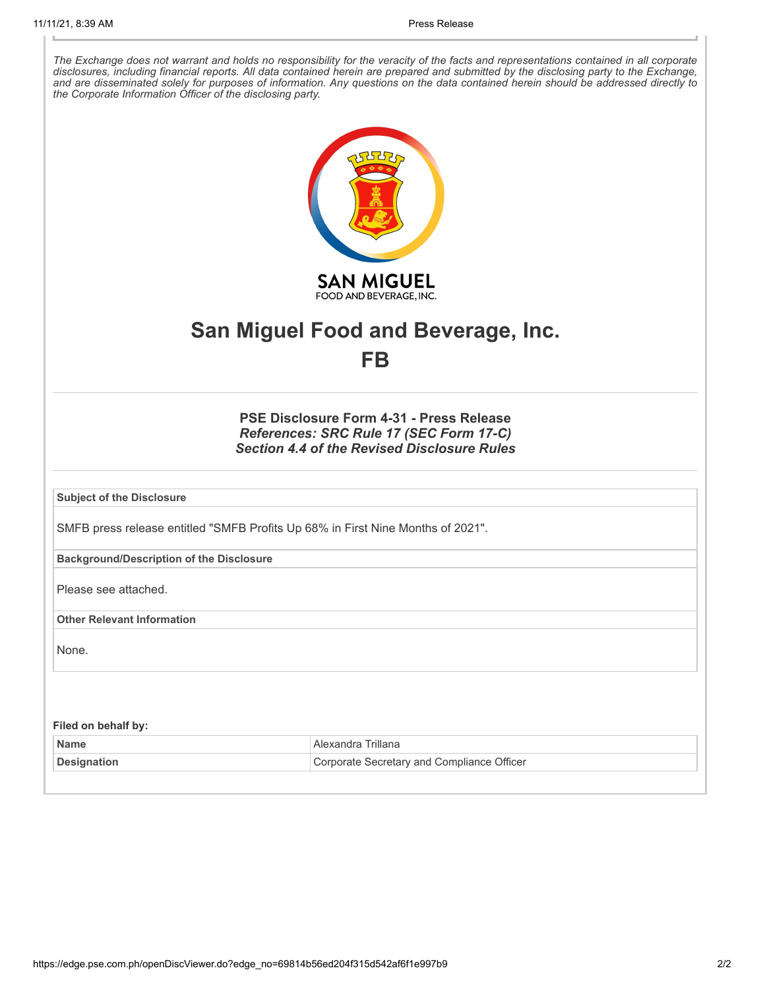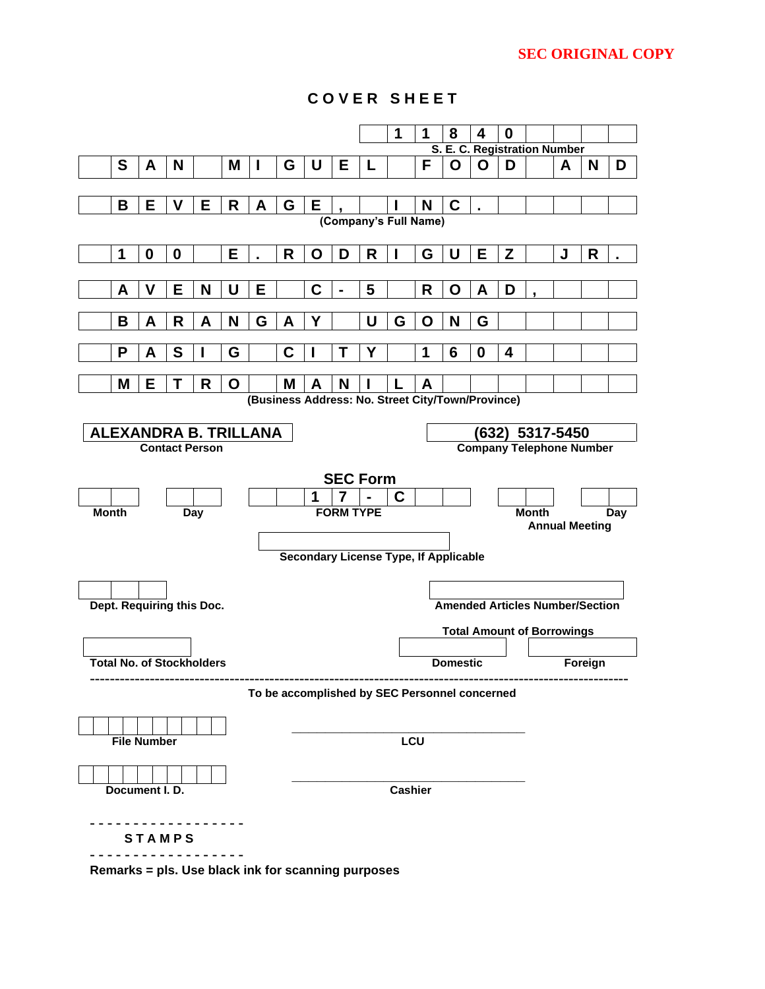## **SEC ORIGINAL COPY**



**C O V E R S H E E T**

**Remarks = pls. Use black ink for scanning purposes**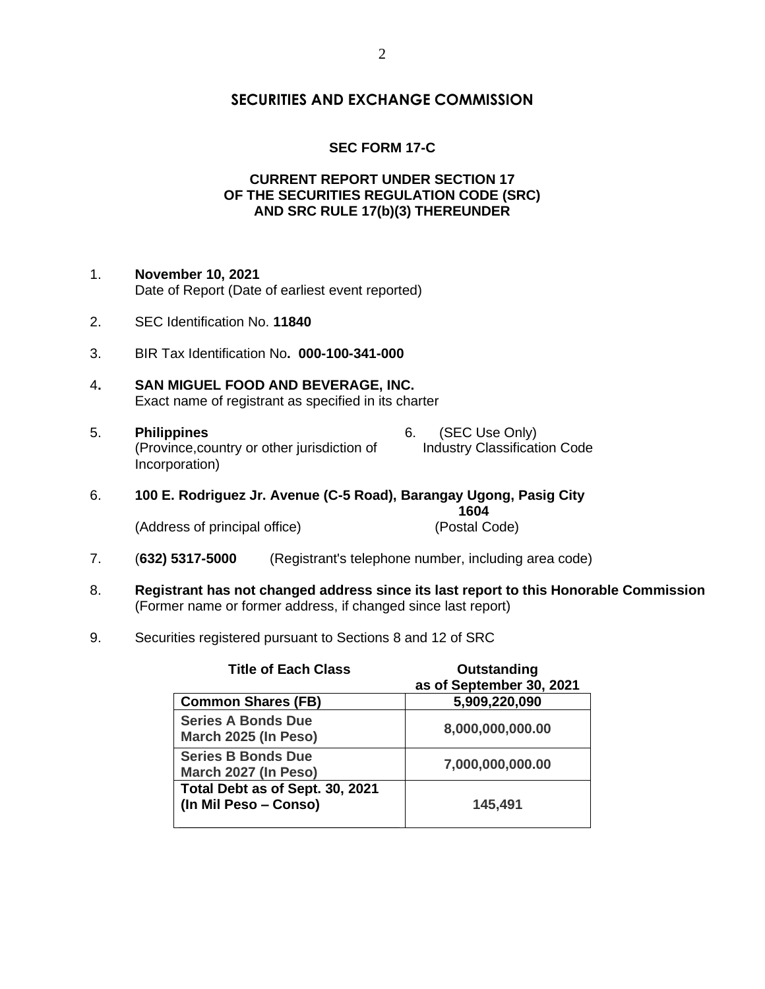## **SEC FORM 17-C**

#### **CURRENT REPORT UNDER SECTION 17 OF THE SECURITIES REGULATION CODE (SRC) AND SRC RULE 17(b)(3) THEREUNDER**

- 1. **November 10, 2021** Date of Report (Date of earliest event reported)
- 2. SEC Identification No. **11840**
- 3. BIR Tax Identification No**. 000-100-341-000**
- 4**. SAN MIGUEL FOOD AND BEVERAGE, INC.** Exact name of registrant as specified in its charter
- 5. **Philippines** 6. (SEC Use Only) (Province,country or other jurisdiction of Industry Classification Code Incorporation)
- 6. **100 E. Rodriguez Jr. Avenue (C-5 Road), Barangay Ugong, Pasig City 1604** (Address of principal office) (Postal Code)
- 7. (**632) 5317-5000** (Registrant's telephone number, including area code)
- 8. **Registrant has not changed address since its last report to this Honorable Commission** (Former name or former address, if changed since last report)
- 9. Securities registered pursuant to Sections 8 and 12 of SRC

| <b>Title of Each Class</b>                               | Outstanding<br>as of September 30, 2021 |
|----------------------------------------------------------|-----------------------------------------|
| <b>Common Shares (FB)</b>                                | 5,909,220,090                           |
| <b>Series A Bonds Due</b><br>March 2025 (In Peso)        | 8,000,000,000.00                        |
| <b>Series B Bonds Due</b><br>March 2027 (In Peso)        | 7,000,000,000.00                        |
| Total Debt as of Sept. 30, 2021<br>(In Mil Peso - Conso) | 145,491                                 |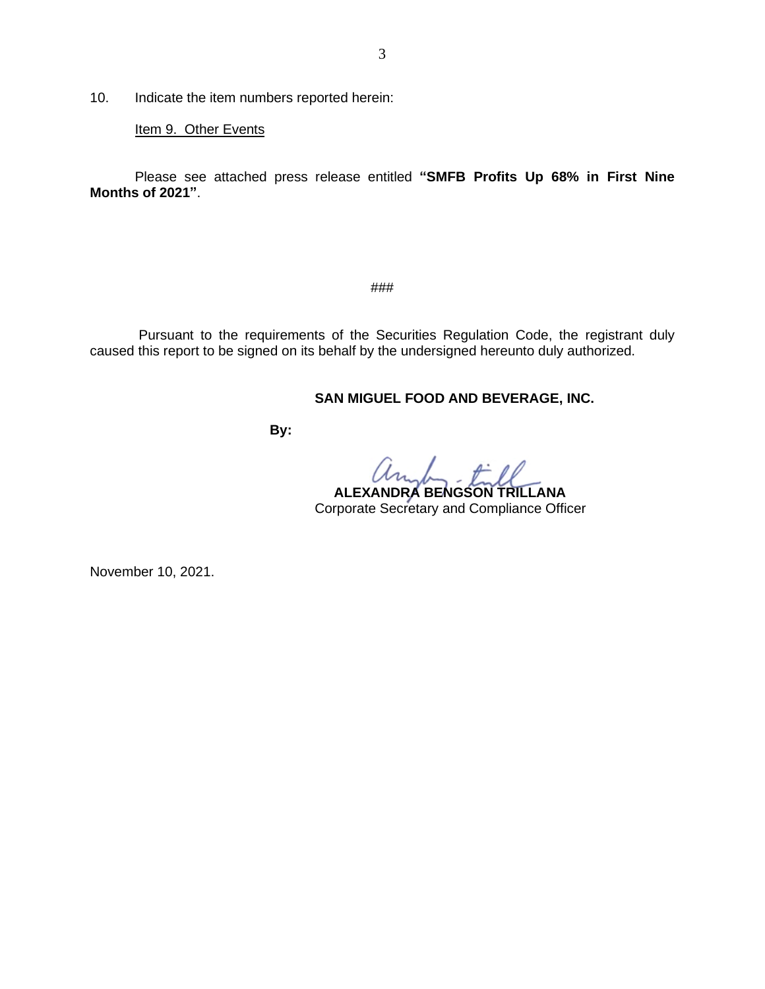10. Indicate the item numbers reported herein:

Item 9. Other Events

Please see attached press release entitled **"SMFB Profits Up 68% in First Nine Months of 2021"**.

###

Pursuant to the requirements of the Securities Regulation Code, the registrant duly caused this report to be signed on its behalf by the undersigned hereunto duly authorized.

## **SAN MIGUEL FOOD AND BEVERAGE, INC.**

 **By:**

as.  $\rightarrow$   $\rightarrow$  0  **ALEXANDRA BENGSON TRILLANA** Corporate Secretary and Compliance Officer

November 10, 2021.